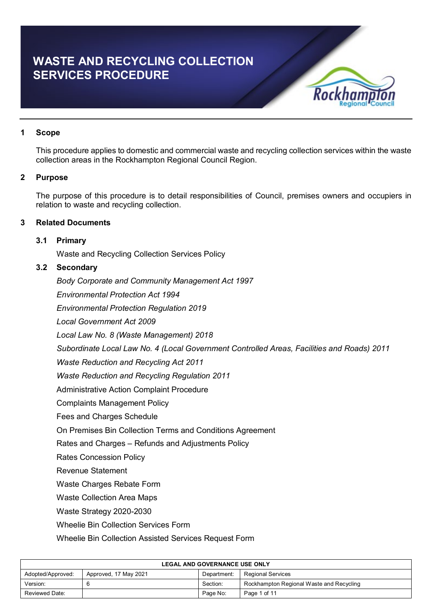# **WASTE AND RECYCLING COLLECTION SERVICES PROCEDURE**



# **1 Scope**

This procedure applies to domestic and commercial waste and recycling collection services within the waste collection areas in the Rockhampton Regional Council Region.

# **2 Purpose**

The purpose of this procedure is to detail responsibilities of Council, premises owners and occupiers in relation to waste and recycling collection.

# **3 Related Documents**

# **3.1 Primary**

Waste and Recycling Collection Services Policy

# **3.2 Secondary**

*Body Corporate and Community Management Act 1997*

*Environmental Protection Act 1994*

*Environmental Protection Regulation 2019*

*Local Government Act 2009*

*Local Law No. 8 (Waste Management) 2018*

*Subordinate Local Law No. 4 (Local Government Controlled Areas, Facilities and Roads) 2011*

*Waste Reduction and Recycling Act 2011*

*Waste Reduction and Recycling Regulation 2011*

Administrative Action Complaint Procedure

Complaints Management Policy

Fees and Charges Schedule

On Premises Bin Collection Terms and Conditions Agreement

Rates and Charges – Refunds and Adjustments Policy

Rates Concession Policy

Revenue Statement

Waste Charges Rebate Form

Waste Collection Area Maps

Waste Strategy 2020-2030

Wheelie Bin Collection Services Form

Wheelie Bin Collection Assisted Services Request Form

| <b>LEGAL AND GOVERNANCE USE ONLY</b>                                                  |  |          |                                          |  |
|---------------------------------------------------------------------------------------|--|----------|------------------------------------------|--|
| Adopted/Approved:<br>Approved, 17 May 2021<br><b>Regional Services</b><br>Department: |  |          |                                          |  |
| Version:                                                                              |  | Section: | Rockhampton Regional Waste and Recycling |  |
| Reviewed Date:<br>Page No:<br>Page 1 of 11                                            |  |          |                                          |  |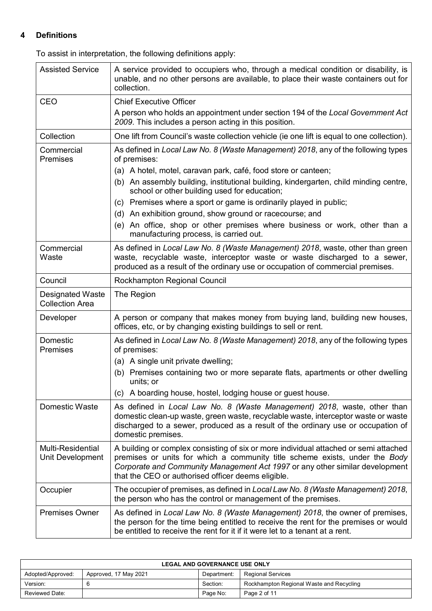# **4 Definitions**

To assist in interpretation, the following definitions apply:

| <b>Assisted Service</b>                           | A service provided to occupiers who, through a medical condition or disability, is<br>unable, and no other persons are available, to place their waste containers out for<br>collection.                                                                                                                  |
|---------------------------------------------------|-----------------------------------------------------------------------------------------------------------------------------------------------------------------------------------------------------------------------------------------------------------------------------------------------------------|
| <b>CEO</b>                                        | <b>Chief Executive Officer</b>                                                                                                                                                                                                                                                                            |
|                                                   | A person who holds an appointment under section 194 of the Local Government Act<br>2009. This includes a person acting in this position.                                                                                                                                                                  |
| Collection                                        | One lift from Council's waste collection vehicle (ie one lift is equal to one collection).                                                                                                                                                                                                                |
| Commercial<br><b>Premises</b>                     | As defined in Local Law No. 8 (Waste Management) 2018, any of the following types<br>of premises:                                                                                                                                                                                                         |
|                                                   | (a) A hotel, motel, caravan park, café, food store or canteen;                                                                                                                                                                                                                                            |
|                                                   | (b) An assembly building, institutional building, kindergarten, child minding centre,<br>school or other building used for education;                                                                                                                                                                     |
|                                                   | (c) Premises where a sport or game is ordinarily played in public;                                                                                                                                                                                                                                        |
|                                                   | (d) An exhibition ground, show ground or racecourse; and                                                                                                                                                                                                                                                  |
|                                                   | An office, shop or other premises where business or work, other than a<br>(e)<br>manufacturing process, is carried out.                                                                                                                                                                                   |
| Commercial<br>Waste                               | As defined in Local Law No. 8 (Waste Management) 2018, waste, other than green<br>waste, recyclable waste, interceptor waste or waste discharged to a sewer,<br>produced as a result of the ordinary use or occupation of commercial premises.                                                            |
| Council                                           | Rockhampton Regional Council                                                                                                                                                                                                                                                                              |
| <b>Designated Waste</b><br><b>Collection Area</b> | The Region                                                                                                                                                                                                                                                                                                |
| Developer                                         | A person or company that makes money from buying land, building new houses,<br>offices, etc, or by changing existing buildings to sell or rent.                                                                                                                                                           |
| Domestic<br>Premises                              | As defined in Local Law No. 8 (Waste Management) 2018, any of the following types<br>of premises:                                                                                                                                                                                                         |
|                                                   | (a) A single unit private dwelling;                                                                                                                                                                                                                                                                       |
|                                                   | Premises containing two or more separate flats, apartments or other dwelling<br>(b)<br>units; or                                                                                                                                                                                                          |
|                                                   | (c) A boarding house, hostel, lodging house or guest house.                                                                                                                                                                                                                                               |
| Domestic Waste                                    | As defined in Local Law No. 8 (Waste Management) 2018, waste, other than<br>domestic clean-up waste, green waste, recyclable waste, interceptor waste or waste<br>discharged to a sewer, produced as a result of the ordinary use or occupation of<br>domestic premises.                                  |
| <b>Multi-Residential</b><br>Unit Development      | A building or complex consisting of six or more individual attached or semi attached<br>premises or units for which a community title scheme exists, under the Body<br>Corporate and Community Management Act 1997 or any other similar development<br>that the CEO or authorised officer deems eligible. |
| Occupier                                          | The occupier of premises, as defined in Local Law No. 8 (Waste Management) 2018,<br>the person who has the control or management of the premises.                                                                                                                                                         |
| <b>Premises Owner</b>                             | As defined in Local Law No. 8 (Waste Management) 2018, the owner of premises,<br>the person for the time being entitled to receive the rent for the premises or would<br>be entitled to receive the rent for it if it were let to a tenant at a rent.                                                     |

| <b>LEGAL AND GOVERNANCE USE ONLY</b>                                                  |  |          |                                          |
|---------------------------------------------------------------------------------------|--|----------|------------------------------------------|
| Adopted/Approved:<br>Department:<br><b>Regional Services</b><br>Approved, 17 May 2021 |  |          |                                          |
| Version:                                                                              |  | Section: | Rockhampton Regional Waste and Recycling |
| Reviewed Date:                                                                        |  | Page No: | Page 2 of 11                             |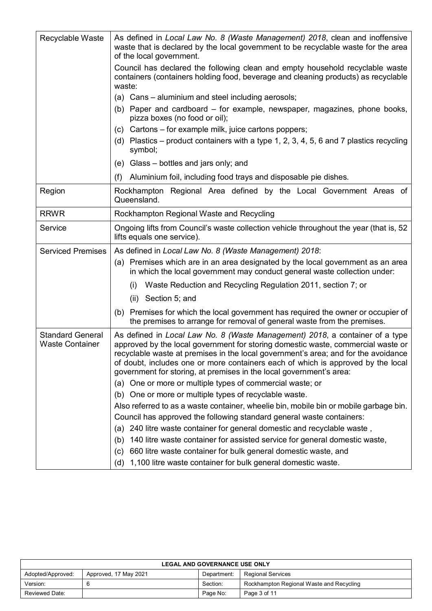| Recyclable Waste                                  | As defined in Local Law No. 8 (Waste Management) 2018, clean and inoffensive<br>waste that is declared by the local government to be recyclable waste for the area<br>of the local government.                                                                                                                                                                                                                    |  |  |  |
|---------------------------------------------------|-------------------------------------------------------------------------------------------------------------------------------------------------------------------------------------------------------------------------------------------------------------------------------------------------------------------------------------------------------------------------------------------------------------------|--|--|--|
|                                                   | Council has declared the following clean and empty household recyclable waste<br>containers (containers holding food, beverage and cleaning products) as recyclable<br>waste:                                                                                                                                                                                                                                     |  |  |  |
|                                                   | (a) Cans – aluminium and steel including aerosols;                                                                                                                                                                                                                                                                                                                                                                |  |  |  |
|                                                   | (b) Paper and cardboard – for example, newspaper, magazines, phone books,<br>pizza boxes (no food or oil);                                                                                                                                                                                                                                                                                                        |  |  |  |
|                                                   | (c) Cartons – for example milk, juice cartons poppers;                                                                                                                                                                                                                                                                                                                                                            |  |  |  |
|                                                   | (d) Plastics – product containers with a type 1, 2, 3, 4, 5, 6 and 7 plastics recycling<br>symbol;                                                                                                                                                                                                                                                                                                                |  |  |  |
|                                                   | (e) Glass – bottles and jars only; and                                                                                                                                                                                                                                                                                                                                                                            |  |  |  |
|                                                   | (f)<br>Aluminium foil, including food trays and disposable pie dishes.                                                                                                                                                                                                                                                                                                                                            |  |  |  |
| Region                                            | Rockhampton<br>Regional Area defined by the Local Government Areas of<br>Queensland.                                                                                                                                                                                                                                                                                                                              |  |  |  |
| <b>RRWR</b>                                       | Rockhampton Regional Waste and Recycling                                                                                                                                                                                                                                                                                                                                                                          |  |  |  |
| Service                                           | Ongoing lifts from Council's waste collection vehicle throughout the year (that is, 52)<br>lifts equals one service).                                                                                                                                                                                                                                                                                             |  |  |  |
| <b>Serviced Premises</b>                          | As defined in Local Law No. 8 (Waste Management) 2018:                                                                                                                                                                                                                                                                                                                                                            |  |  |  |
|                                                   | (a) Premises which are in an area designated by the local government as an area<br>in which the local government may conduct general waste collection under:                                                                                                                                                                                                                                                      |  |  |  |
|                                                   | Waste Reduction and Recycling Regulation 2011, section 7; or<br>(i)                                                                                                                                                                                                                                                                                                                                               |  |  |  |
|                                                   | $(ii)$ Section 5; and                                                                                                                                                                                                                                                                                                                                                                                             |  |  |  |
|                                                   | (b) Premises for which the local government has required the owner or occupier of<br>the premises to arrange for removal of general waste from the premises.                                                                                                                                                                                                                                                      |  |  |  |
| <b>Standard General</b><br><b>Waste Container</b> | As defined in Local Law No. 8 (Waste Management) 2018, a container of a type<br>approved by the local government for storing domestic waste, commercial waste or<br>recyclable waste at premises in the local government's area; and for the avoidance<br>of doubt, includes one or more containers each of which is approved by the local<br>government for storing, at premises in the local government's area: |  |  |  |
|                                                   | (a) One or more or multiple types of commercial waste; or                                                                                                                                                                                                                                                                                                                                                         |  |  |  |
|                                                   | (b) One or more or multiple types of recyclable waste.                                                                                                                                                                                                                                                                                                                                                            |  |  |  |
|                                                   | Also referred to as a waste container, wheelie bin, mobile bin or mobile garbage bin.                                                                                                                                                                                                                                                                                                                             |  |  |  |
|                                                   | Council has approved the following standard general waste containers:                                                                                                                                                                                                                                                                                                                                             |  |  |  |
|                                                   | (a) 240 litre waste container for general domestic and recyclable waste,                                                                                                                                                                                                                                                                                                                                          |  |  |  |
|                                                   | 140 litre waste container for assisted service for general domestic waste,<br>(b)                                                                                                                                                                                                                                                                                                                                 |  |  |  |
|                                                   | 660 litre waste container for bulk general domestic waste, and<br>(c)                                                                                                                                                                                                                                                                                                                                             |  |  |  |
|                                                   | 1,100 litre waste container for bulk general domestic waste.<br>(d)                                                                                                                                                                                                                                                                                                                                               |  |  |  |

| <b>LEGAL AND GOVERNANCE USE ONLY</b>                                           |  |          |                                          |  |
|--------------------------------------------------------------------------------|--|----------|------------------------------------------|--|
| Adopted/Approved:<br>Approved, 17 May 2021<br>Regional Services<br>Department: |  |          |                                          |  |
| Version:                                                                       |  | Section: | Rockhampton Regional Waste and Recycling |  |
| Reviewed Date:                                                                 |  | Page No: | Page 3 of 11                             |  |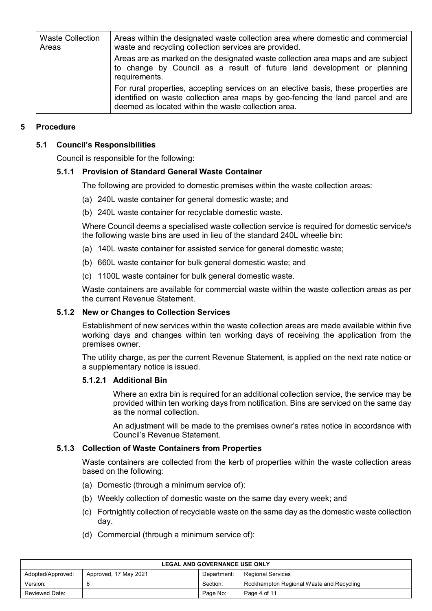| <b>Waste Collection</b><br>Areas | Areas within the designated waste collection area where domestic and commercial<br>waste and recycling collection services are provided.                                                                                      |
|----------------------------------|-------------------------------------------------------------------------------------------------------------------------------------------------------------------------------------------------------------------------------|
|                                  | Areas are as marked on the designated waste collection area maps and are subject<br>to change by Council as a result of future land development or planning<br>requirements.                                                  |
|                                  | For rural properties, accepting services on an elective basis, these properties are<br>identified on waste collection area maps by geo-fencing the land parcel and are<br>deemed as located within the waste collection area. |

# **5 Procedure**

# **5.1 Council's Responsibilities**

Council is responsible for the following:

# **5.1.1 Provision of Standard General Waste Container**

The following are provided to domestic premises within the waste collection areas:

- (a) 240L waste container for general domestic waste; and
- (b) 240L waste container for recyclable domestic waste.

Where Council deems a specialised waste collection service is required for domestic service/s the following waste bins are used in lieu of the standard 240L wheelie bin:

- (a) 140L waste container for assisted service for general domestic waste;
- (b) 660L waste container for bulk general domestic waste; and
- (c) 1100L waste container for bulk general domestic waste.

Waste containers are available for commercial waste within the waste collection areas as per the current Revenue Statement.

# **5.1.2 New or Changes to Collection Services**

Establishment of new services within the waste collection areas are made available within five working days and changes within ten working days of receiving the application from the premises owner.

The utility charge, as per the current Revenue Statement, is applied on the next rate notice or a supplementary notice is issued.

# **5.1.2.1 Additional Bin**

Where an extra bin is required for an additional collection service, the service may be provided within ten working days from notification. Bins are serviced on the same day as the normal collection.

An adjustment will be made to the premises owner's rates notice in accordance with Council's Revenue Statement.

# **5.1.3 Collection of Waste Containers from Properties**

Waste containers are collected from the kerb of properties within the waste collection areas based on the following:

- (a) Domestic (through a minimum service of):
- (b) Weekly collection of domestic waste on the same day every week; and
- (c) Fortnightly collection of recyclable waste on the same day as the domestic waste collection day.
- (d) Commercial (through a minimum service of):

| <b>LEGAL AND GOVERNANCE USE ONLY</b>                                           |  |          |                                          |  |
|--------------------------------------------------------------------------------|--|----------|------------------------------------------|--|
| Adopted/Approved:<br>Approved, 17 May 2021<br>Regional Services<br>Department: |  |          |                                          |  |
| Version:                                                                       |  | Section: | Rockhampton Regional Waste and Recycling |  |
| Reviewed Date:                                                                 |  | Page No: | Page 4 of 11                             |  |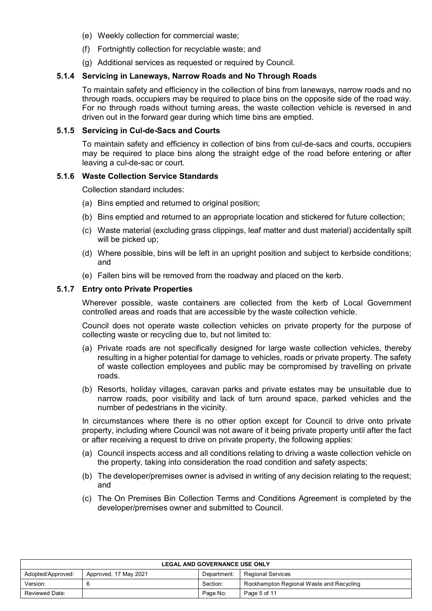- (e) Weekly collection for commercial waste;
- (f) Fortnightly collection for recyclable waste; and
- (g) Additional services as requested or required by Council.

#### **5.1.4 Servicing in Laneways, Narrow Roads and No Through Roads**

To maintain safety and efficiency in the collection of bins from laneways, narrow roads and no through roads, occupiers may be required to place bins on the opposite side of the road way. For no through roads without turning areas, the waste collection vehicle is reversed in and driven out in the forward gear during which time bins are emptied.

#### **5.1.5 Servicing in Cul-de-Sacs and Courts**

To maintain safety and efficiency in collection of bins from cul-de-sacs and courts, occupiers may be required to place bins along the straight edge of the road before entering or after leaving a cul-de-sac or court.

#### **5.1.6 Waste Collection Service Standards**

Collection standard includes:

- (a) Bins emptied and returned to original position;
- (b) Bins emptied and returned to an appropriate location and stickered for future collection;
- (c) Waste material (excluding grass clippings, leaf matter and dust material) accidentally spilt will be picked up:
- (d) Where possible, bins will be left in an upright position and subject to kerbside conditions; and
- (e) Fallen bins will be removed from the roadway and placed on the kerb.

#### **5.1.7 Entry onto Private Properties**

Wherever possible, waste containers are collected from the kerb of Local Government controlled areas and roads that are accessible by the waste collection vehicle.

Council does not operate waste collection vehicles on private property for the purpose of collecting waste or recycling due to, but not limited to:

- (a) Private roads are not specifically designed for large waste collection vehicles, thereby resulting in a higher potential for damage to vehicles, roads or private property. The safety of waste collection employees and public may be compromised by travelling on private roads.
- (b) Resorts, holiday villages, caravan parks and private estates may be unsuitable due to narrow roads, poor visibility and lack of turn around space, parked vehicles and the number of pedestrians in the vicinity.

In circumstances where there is no other option except for Council to drive onto private property, including where Council was not aware of it being private property until after the fact or after receiving a request to drive on private property, the following applies:

- (a) Council inspects access and all conditions relating to driving a waste collection vehicle on the property, taking into consideration the road condition and safety aspects;
- (b) The developer/premises owner is advised in writing of any decision relating to the request; and
- (c) The On Premises Bin Collection Terms and Conditions Agreement is completed by the developer/premises owner and submitted to Council.

| <b>LEGAL AND GOVERNANCE USE ONLY</b>                                                  |  |          |                                          |  |
|---------------------------------------------------------------------------------------|--|----------|------------------------------------------|--|
| Adopted/Approved:<br>Approved, 17 May 2021<br><b>Regional Services</b><br>Department: |  |          |                                          |  |
| Version:                                                                              |  | Section: | Rockhampton Regional Waste and Recycling |  |
| Reviewed Date:                                                                        |  | Page No: | Page 5 of 11                             |  |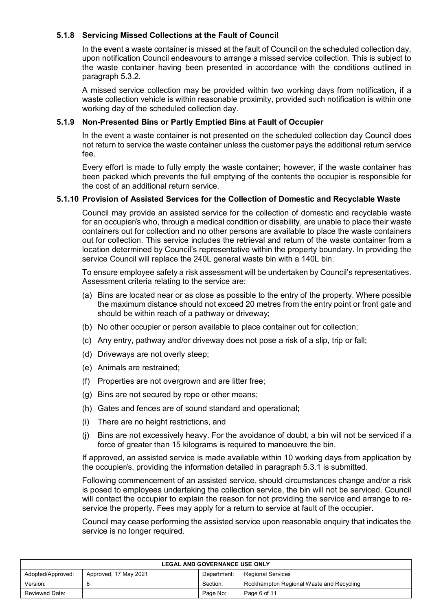# **5.1.8 Servicing Missed Collections at the Fault of Council**

In the event a waste container is missed at the fault of Council on the scheduled collection day, upon notification Council endeavours to arrange a missed service collection. This is subject to the waste container having been presented in accordance with the conditions outlined in paragraph 5.3.2.

A missed service collection may be provided within two working days from notification, if a waste collection vehicle is within reasonable proximity, provided such notification is within one working day of the scheduled collection day.

# **5.1.9 Non-Presented Bins or Partly Emptied Bins at Fault of Occupier**

In the event a waste container is not presented on the scheduled collection day Council does not return to service the waste container unless the customer pays the additional return service fee.

Every effort is made to fully empty the waste container; however, if the waste container has been packed which prevents the full emptying of the contents the occupier is responsible for the cost of an additional return service.

# **5.1.10 Provision of Assisted Services for the Collection of Domestic and Recyclable Waste**

Council may provide an assisted service for the collection of domestic and recyclable waste for an occupier/s who, through a medical condition or disability, are unable to place their waste containers out for collection and no other persons are available to place the waste containers out for collection. This service includes the retrieval and return of the waste container from a location determined by Council's representative within the property boundary. In providing the service Council will replace the 240L general waste bin with a 140L bin.

To ensure employee safety a risk assessment will be undertaken by Council's representatives. Assessment criteria relating to the service are:

- (a) Bins are located near or as close as possible to the entry of the property. Where possible the maximum distance should not exceed 20 metres from the entry point or front gate and should be within reach of a pathway or driveway;
- (b) No other occupier or person available to place container out for collection;
- (c) Any entry, pathway and/or driveway does not pose a risk of a slip, trip or fall;
- (d) Driveways are not overly steep;
- (e) Animals are restrained;
- (f) Properties are not overgrown and are litter free;
- (g) Bins are not secured by rope or other means;
- (h) Gates and fences are of sound standard and operational;
- (i) There are no height restrictions, and
- (j) Bins are not excessively heavy. For the avoidance of doubt, a bin will not be serviced if a force of greater than 15 kilograms is required to manoeuvre the bin.

If approved, an assisted service is made available within 10 working days from application by the occupier/s, providing the information detailed in paragraph 5.3.1 is submitted.

Following commencement of an assisted service, should circumstances change and/or a risk is posed to employees undertaking the collection service, the bin will not be serviced. Council will contact the occupier to explain the reason for not providing the service and arrange to reservice the property. Fees may apply for a return to service at fault of the occupier.

Council may cease performing the assisted service upon reasonable enquiry that indicates the service is no longer required.

| <b>LEGAL AND GOVERNANCE USE ONLY</b>                                                  |  |          |                                          |  |
|---------------------------------------------------------------------------------------|--|----------|------------------------------------------|--|
| Adopted/Approved:<br>Approved, 17 May 2021<br><b>Regional Services</b><br>Department: |  |          |                                          |  |
| Version:                                                                              |  | Section: | Rockhampton Regional Waste and Recycling |  |
| Reviewed Date:                                                                        |  | Page No: | Page 6 of 11                             |  |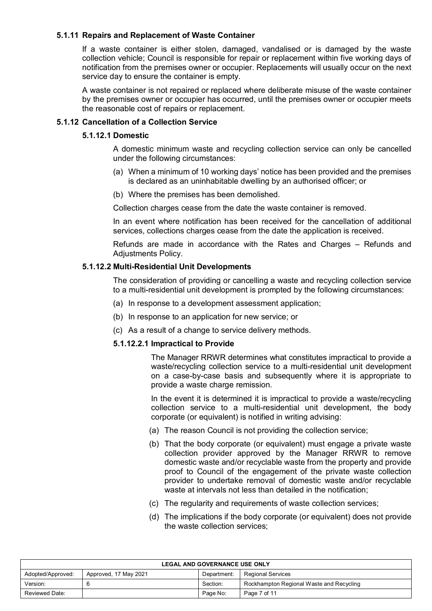# **5.1.11 Repairs and Replacement of Waste Container**

If a waste container is either stolen, damaged, vandalised or is damaged by the waste collection vehicle; Council is responsible for repair or replacement within five working days of notification from the premises owner or occupier. Replacements will usually occur on the next service day to ensure the container is empty.

A waste container is not repaired or replaced where deliberate misuse of the waste container by the premises owner or occupier has occurred, until the premises owner or occupier meets the reasonable cost of repairs or replacement.

# **5.1.12 Cancellation of a Collection Service**

#### **5.1.12.1 Domestic**

A domestic minimum waste and recycling collection service can only be cancelled under the following circumstances:

- (a) When a minimum of 10 working days' notice has been provided and the premises is declared as an uninhabitable dwelling by an authorised officer; or
- (b) Where the premises has been demolished.

Collection charges cease from the date the waste container is removed.

In an event where notification has been received for the cancellation of additional services, collections charges cease from the date the application is received.

Refunds are made in accordance with the Rates and Charges – Refunds and Adjustments Policy.

#### **5.1.12.2 Multi-Residential Unit Developments**

The consideration of providing or cancelling a waste and recycling collection service to a multi-residential unit development is prompted by the following circumstances:

- (a) In response to a development assessment application;
- (b) In response to an application for new service; or
- (c) As a result of a change to service delivery methods.

#### **5.1.12.2.1 Impractical to Provide**

The Manager RRWR determines what constitutes impractical to provide a waste/recycling collection service to a multi-residential unit development on a case-by-case basis and subsequently where it is appropriate to provide a waste charge remission.

In the event it is determined it is impractical to provide a waste/recycling collection service to a multi-residential unit development, the body corporate (or equivalent) is notified in writing advising:

- (a) The reason Council is not providing the collection service;
- (b) That the body corporate (or equivalent) must engage a private waste collection provider approved by the Manager RRWR to remove domestic waste and/or recyclable waste from the property and provide proof to Council of the engagement of the private waste collection provider to undertake removal of domestic waste and/or recyclable waste at intervals not less than detailed in the notification;
- (c) The regularity and requirements of waste collection services;
- (d) The implications if the body corporate (or equivalent) does not provide the waste collection services;

| <b>LEGAL AND GOVERNANCE USE ONLY</b>                                                  |   |          |                                          |  |
|---------------------------------------------------------------------------------------|---|----------|------------------------------------------|--|
| Adopted/Approved:<br><b>Regional Services</b><br>Approved, 17 May 2021<br>Department: |   |          |                                          |  |
| Version:                                                                              | 6 | Section: | Rockhampton Regional Waste and Recycling |  |
| Reviewed Date:<br>Page No:<br>Page 7 of 11                                            |   |          |                                          |  |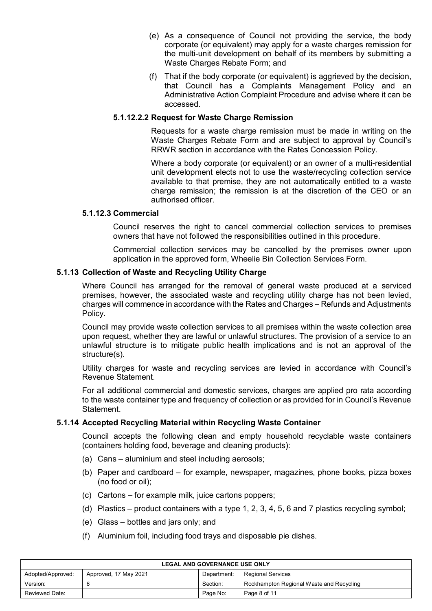- (e) As a consequence of Council not providing the service, the body corporate (or equivalent) may apply for a waste charges remission for the multi-unit development on behalf of its members by submitting a Waste Charges Rebate Form; and
- (f) That if the body corporate (or equivalent) is aggrieved by the decision, that Council has a Complaints Management Policy and an Administrative Action Complaint Procedure and advise where it can be accessed.

# **5.1.12.2.2 Request for Waste Charge Remission**

Requests for a waste charge remission must be made in writing on the Waste Charges Rebate Form and are subject to approval by Council's RRWR section in accordance with the Rates Concession Policy.

Where a body corporate (or equivalent) or an owner of a multi-residential unit development elects not to use the waste/recycling collection service available to that premise, they are not automatically entitled to a waste charge remission; the remission is at the discretion of the CEO or an authorised officer.

#### **5.1.12.3 Commercial**

Council reserves the right to cancel commercial collection services to premises owners that have not followed the responsibilities outlined in this procedure.

Commercial collection services may be cancelled by the premises owner upon application in the approved form, Wheelie Bin Collection Services Form.

# **5.1.13 Collection of Waste and Recycling Utility Charge**

Where Council has arranged for the removal of general waste produced at a serviced premises, however, the associated waste and recycling utility charge has not been levied, charges will commence in accordance with the Rates and Charges – Refunds and Adjustments Policy.

Council may provide waste collection services to all premises within the waste collection area upon request, whether they are lawful or unlawful structures. The provision of a service to an unlawful structure is to mitigate public health implications and is not an approval of the structure(s).

Utility charges for waste and recycling services are levied in accordance with Council's Revenue Statement.

For all additional commercial and domestic services, charges are applied pro rata according to the waste container type and frequency of collection or as provided for in Council's Revenue Statement.

#### **5.1.14 Accepted Recycling Material within Recycling Waste Container**

Council accepts the following clean and empty household recyclable waste containers (containers holding food, beverage and cleaning products):

- (a) Cans aluminium and steel including aerosols;
- (b) Paper and cardboard for example, newspaper, magazines, phone books, pizza boxes (no food or oil);
- (c) Cartons for example milk, juice cartons poppers;
- (d) Plastics product containers with a type 1, 2, 3, 4, 5, 6 and 7 plastics recycling symbol;
- (e) Glass bottles and jars only; and
- (f) Aluminium foil, including food trays and disposable pie dishes.

| <b>LEGAL AND GOVERNANCE USE ONLY</b>                                                  |  |          |                                          |  |
|---------------------------------------------------------------------------------------|--|----------|------------------------------------------|--|
| Adopted/Approved:<br><b>Regional Services</b><br>Approved, 17 May 2021<br>Department: |  |          |                                          |  |
| Version:                                                                              |  | Section: | Rockhampton Regional Waste and Recycling |  |
| Reviewed Date:                                                                        |  | Page No: | Page 8 of 11                             |  |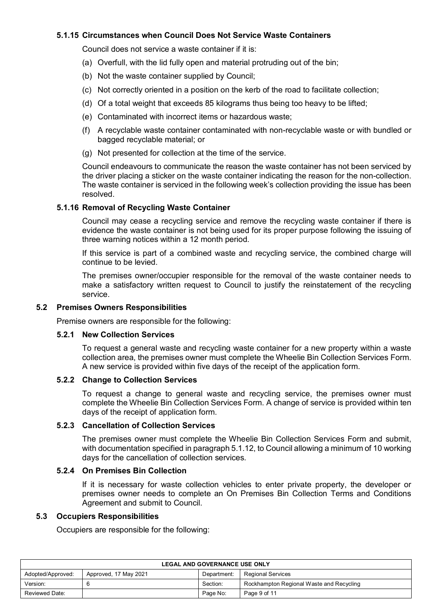# **5.1.15 Circumstances when Council Does Not Service Waste Containers**

Council does not service a waste container if it is:

- (a) Overfull, with the lid fully open and material protruding out of the bin;
- (b) Not the waste container supplied by Council;
- (c) Not correctly oriented in a position on the kerb of the road to facilitate collection;
- (d) Of a total weight that exceeds 85 kilograms thus being too heavy to be lifted;
- (e) Contaminated with incorrect items or hazardous waste;
- (f) A recyclable waste container contaminated with non-recyclable waste or with bundled or bagged recyclable material; or
- (g) Not presented for collection at the time of the service.

Council endeavours to communicate the reason the waste container has not been serviced by the driver placing a sticker on the waste container indicating the reason for the non-collection. The waste container is serviced in the following week's collection providing the issue has been resolved.

# **5.1.16 Removal of Recycling Waste Container**

Council may cease a recycling service and remove the recycling waste container if there is evidence the waste container is not being used for its proper purpose following the issuing of three warning notices within a 12 month period.

If this service is part of a combined waste and recycling service, the combined charge will continue to be levied.

The premises owner/occupier responsible for the removal of the waste container needs to make a satisfactory written request to Council to justify the reinstatement of the recycling service.

#### **5.2 Premises Owners Responsibilities**

Premise owners are responsible for the following:

#### **5.2.1 New Collection Services**

To request a general waste and recycling waste container for a new property within a waste collection area, the premises owner must complete the Wheelie Bin Collection Services Form. A new service is provided within five days of the receipt of the application form.

#### **5.2.2 Change to Collection Services**

To request a change to general waste and recycling service, the premises owner must complete the Wheelie Bin Collection Services Form. A change of service is provided within ten days of the receipt of application form.

# **5.2.3 Cancellation of Collection Services**

The premises owner must complete the Wheelie Bin Collection Services Form and submit, with documentation specified in paragraph 5.1.12, to Council allowing a minimum of 10 working days for the cancellation of collection services.

#### **5.2.4 On Premises Bin Collection**

If it is necessary for waste collection vehicles to enter private property, the developer or premises owner needs to complete an On Premises Bin Collection Terms and Conditions Agreement and submit to Council.

#### **5.3 Occupiers Responsibilities**

Occupiers are responsible for the following:

| <b>LEGAL AND GOVERNANCE USE ONLY</b>                                           |  |          |                                          |  |
|--------------------------------------------------------------------------------|--|----------|------------------------------------------|--|
| Approved, 17 May 2021<br>Regional Services<br>Adopted/Approved:<br>Department: |  |          |                                          |  |
| Version:                                                                       |  | Section: | Rockhampton Regional Waste and Recycling |  |
| Reviewed Date:                                                                 |  | Page No: | Page 9 of 11                             |  |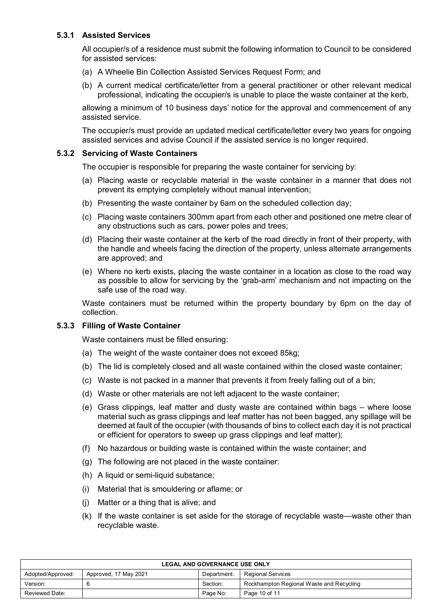# **5.3.1 Assisted Services**

All occupier/s of a residence must submit the following information to Council to be considered for assisted services:

- (a) A Wheelie Bin Collection Assisted Services Request Form; and
- (b) A current medical certificate/letter from a general practitioner or other relevant medical professional, indicating the occupier/s is unable to place the waste container at the kerb,

allowing a minimum of 10 business days' notice for the approval and commencement of any assisted service.

The occupier/s must provide an updated medical certificate/letter every two years for ongoing assisted services and advise Council if the assisted service is no longer required.

# **5.3.2 Servicing of Waste Containers**

The occupier is responsible for preparing the waste container for servicing by:

- (a) Placing waste or recyclable material in the waste container in a manner that does not prevent its emptying completely without manual intervention;
- (b) Presenting the waste container by 6am on the scheduled collection day;
- (c) Placing waste containers 300mm apart from each other and positioned one metre clear of any obstructions such as cars, power poles and trees;
- (d) Placing their waste container at the kerb of the road directly in front of their property, with the handle and wheels facing the direction of the property, unless alternate arrangements are approved; and
- (e) Where no kerb exists, placing the waste container in a location as close to the road way as possible to allow for servicing by the 'grab-arm' mechanism and not impacting on the safe use of the road way.

Waste containers must be returned within the property boundary by 6pm on the day of collection.

# **5.3.3 Filling of Waste Container**

Waste containers must be filled ensuring:

- (a) The weight of the waste container does not exceed 85kg;
- (b) The lid is completely closed and all waste contained within the closed waste container;
- (c) Waste is not packed in a manner that prevents it from freely falling out of a bin;
- (d) Waste or other materials are not left adjacent to the waste container;
- (e) Grass clippings, leaf matter and dusty waste are contained within bags where loose material such as grass clippings and leaf matter has not been bagged, any spillage will be deemed at fault of the occupier (with thousands of bins to collect each day it is not practical or efficient for operators to sweep up grass clippings and leaf matter);
- (f) No hazardous or building waste is contained within the waste container; and
- (g) The following are not placed in the waste container:
- (h) A liquid or semi-liquid substance;
- (i) Material that is smouldering or aflame; or
- (j) Matter or a thing that is alive; and
- (k) If the waste container is set aside for the storage of recyclable waste—waste other than recyclable waste.

| <b>LEGAL AND GOVERNANCE USE ONLY</b> |                       |             |                                          |  |  |
|--------------------------------------|-----------------------|-------------|------------------------------------------|--|--|
| Adopted/Approved:                    | Approved, 17 May 2021 | Department: | Regional Services                        |  |  |
| Version:                             |                       | Section:    | Rockhampton Regional Waste and Recycling |  |  |
| Reviewed Date:                       |                       | Page No:    | Page 10 of 11                            |  |  |